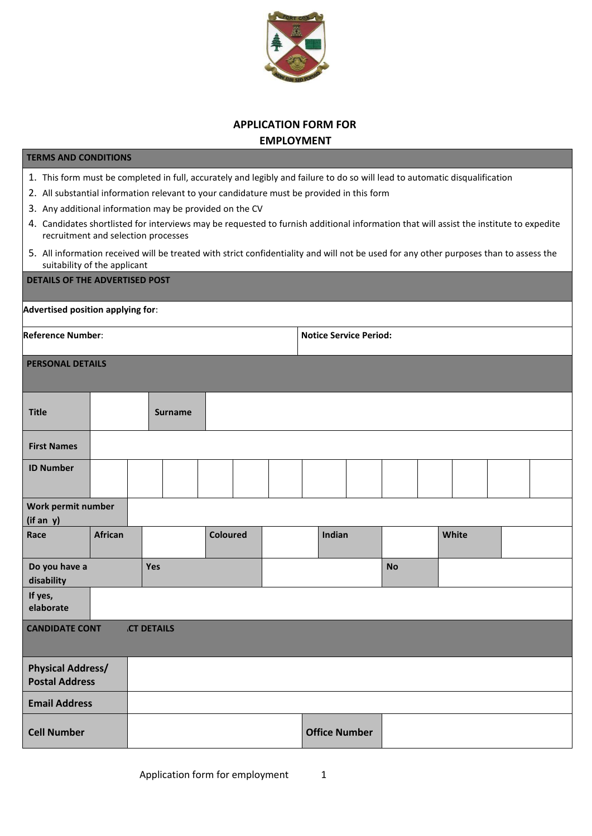

## **APPLICATION FORM FOR EMPLOYMENT**

## **TERMS AND CONDITIONS**

- 1. This form must be completed in full, accurately and legibly and failure to do so will lead to automatic disqualification
- 2. All substantial information relevant to your candidature must be provided in this form
- 3. Any additional information may be provided on the CV
- 4. Candidates shortlisted for interviews may be requested to furnish additional information that will assist the institute to expedite recruitment and selection processes
- 5. All information received will be treated with strict confidentiality and will not be used for any other purposes than to assess the suitability of the applicant

| <b>DETAILS OF THE ADVERTISED POST</b>             |                |                   |                 |  |                               |           |       |  |
|---------------------------------------------------|----------------|-------------------|-----------------|--|-------------------------------|-----------|-------|--|
| Advertised position applying for:                 |                |                   |                 |  |                               |           |       |  |
| <b>Reference Number:</b>                          |                |                   |                 |  | <b>Notice Service Period:</b> |           |       |  |
| <b>PERSONAL DETAILS</b>                           |                |                   |                 |  |                               |           |       |  |
| <b>Title</b>                                      |                | <b>Surname</b>    |                 |  |                               |           |       |  |
| <b>First Names</b>                                |                |                   |                 |  |                               |           |       |  |
| <b>ID Number</b>                                  |                |                   |                 |  |                               |           |       |  |
| Work permit number<br>(if an y)                   |                |                   |                 |  |                               |           |       |  |
| Race                                              | <b>African</b> |                   | <b>Coloured</b> |  | Indian                        |           | White |  |
| Do you have a<br>disability                       |                | Yes               |                 |  |                               | <b>No</b> |       |  |
| If yes,<br>elaborate                              |                |                   |                 |  |                               |           |       |  |
| <b>CANDIDATE CONT</b>                             |                | <b>CT DETAILS</b> |                 |  |                               |           |       |  |
| <b>Physical Address/</b><br><b>Postal Address</b> |                |                   |                 |  |                               |           |       |  |
| <b>Email Address</b>                              |                |                   |                 |  |                               |           |       |  |
| <b>Cell Number</b>                                |                |                   |                 |  | <b>Office Number</b>          |           |       |  |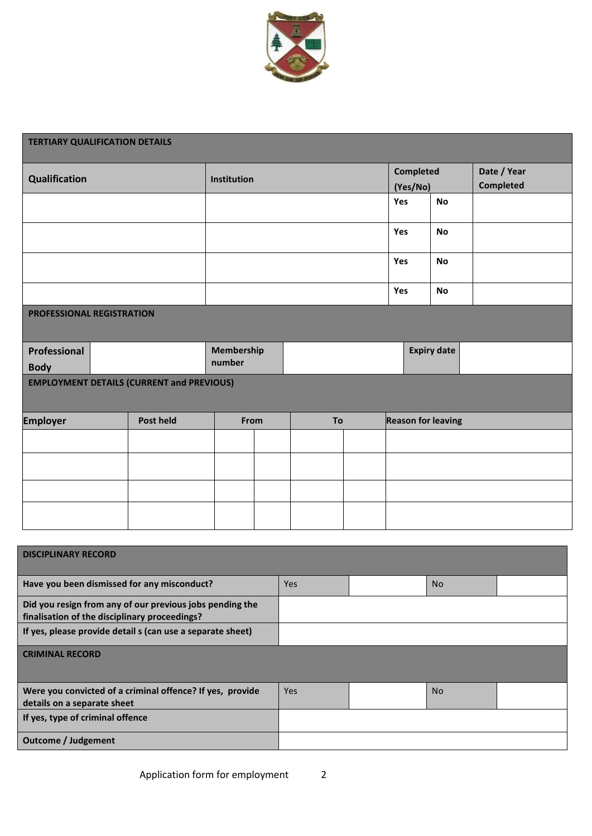

| <b>TERTIARY QUALIFICATION DETAILS</b>            |           |                      |    |                       |     |                           |  |
|--------------------------------------------------|-----------|----------------------|----|-----------------------|-----|---------------------------|--|
| Qualification                                    |           | Institution          |    | Completed<br>(Yes/No) |     | Date / Year<br>Completed  |  |
|                                                  |           |                      |    |                       | Yes | <b>No</b>                 |  |
|                                                  |           |                      |    |                       | Yes | <b>No</b>                 |  |
|                                                  |           |                      |    |                       | Yes | <b>No</b>                 |  |
|                                                  |           |                      |    |                       | Yes | <b>No</b>                 |  |
| PROFESSIONAL REGISTRATION                        |           |                      |    |                       |     |                           |  |
| Professional<br><b>Body</b>                      |           | Membership<br>number |    |                       |     | <b>Expiry date</b>        |  |
| <b>EMPLOYMENT DETAILS (CURRENT and PREVIOUS)</b> |           |                      |    |                       |     |                           |  |
| <b>Employer</b>                                  | Post held | From                 | To |                       |     | <b>Reason for leaving</b> |  |
|                                                  |           |                      |    |                       |     |                           |  |
|                                                  |           |                      |    |                       |     |                           |  |
|                                                  |           |                      |    |                       |     |                           |  |
|                                                  |           |                      |    |                       |     |                           |  |
|                                                  |           |                      |    |                       |     |                           |  |

| <b>DISCIPLINARY RECORD</b>                                                                                |            |           |  |
|-----------------------------------------------------------------------------------------------------------|------------|-----------|--|
| Have you been dismissed for any misconduct?                                                               | <b>Yes</b> | <b>No</b> |  |
| Did you resign from any of our previous jobs pending the<br>finalisation of the disciplinary proceedings? |            |           |  |
| If yes, please provide detail s (can use a separate sheet)                                                |            |           |  |
| <b>CRIMINAL RECORD</b>                                                                                    |            |           |  |
|                                                                                                           |            |           |  |
| Were you convicted of a criminal offence? If yes, provide                                                 | Yes        | <b>No</b> |  |
| details on a separate sheet                                                                               |            |           |  |
| If yes, type of criminal offence                                                                          |            |           |  |
| <b>Outcome / Judgement</b>                                                                                |            |           |  |